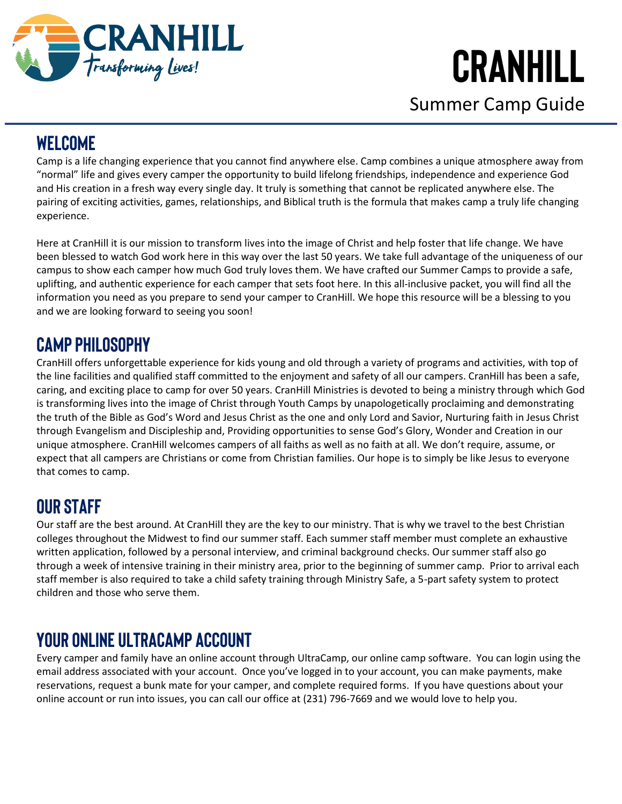

Summer Camp Guide

## **WELCOME**

Camp is a life changing experience that you cannot find anywhere else. Camp combines a unique atmosphere away from "normal" life and gives every camper the opportunity to build lifelong friendships, independence and experience God and His creation in a fresh way every single day. It truly is something that cannot be replicated anywhere else. The pairing of exciting activities, games, relationships, and Biblical truth is the formula that makes camp a truly life changing experience.

Here at CranHill it is our mission to transform lives into the image of Christ and help foster that life change. We have been blessed to watch God work here in this way over the last 50 years. We take full advantage of the uniqueness of our campus to show each camper how much God truly loves them. We have crafted our Summer Camps to provide a safe, uplifting, and authentic experience for each camper that sets foot here. In this all-inclusive packet, you will find all the information you need as you prepare to send your camper to CranHill. We hope this resource will be a blessing to you and we are looking forward to seeing you soon!

## **CAMP PHILOSOPHY**

CranHill offers unforgettable experience for kids young and old through a variety of programs and activities, with top of the line facilities and qualified staff committed to the enjoyment and safety of all our campers. CranHill has been a safe, caring, and exciting place to camp for over 50 years. CranHill Ministries is devoted to being a ministry through which God is transforming lives into the image of Christ through Youth Camps by unapologetically proclaiming and demonstrating the truth of the Bible as God's Word and Jesus Christ as the one and only Lord and Savior, Nurturing faith in Jesus Christ through Evangelism and Discipleship and, Providing opportunities to sense God's Glory, Wonder and Creation in our unique atmosphere. CranHill welcomes campers of all faiths as well as no faith at all. We don't require, assume, or expect that all campers are Christians or come from Christian families. Our hope is to simply be like Jesus to everyone that comes to camp.

## **OUR STAFF**

Our staff are the best around. At CranHill they are the key to our ministry. That is why we travel to the best Christian colleges throughout the Midwest to find our summer staff. Each summer staff member must complete an exhaustive written application, followed by a personal interview, and criminal background checks. Our summer staff also go through a week of intensive training in their ministry area, prior to the beginning of summer camp. Prior to arrival each staff member is also required to take a child safety training through Ministry Safe, a 5-part safety system to protect children and those who serve them.

## **YOUR ONLINE UltraCamp ACCOUNT**

Every camper and family have an online account through UltraCamp, our online camp software. You can login using the email address associated with your account. Once you've logged in to your account, you can make payments, make reservations, request a bunk mate for your camper, and complete required forms. If you have questions about your online account or run into issues, you can call our office at (231) 796-7669 and we would love to help you.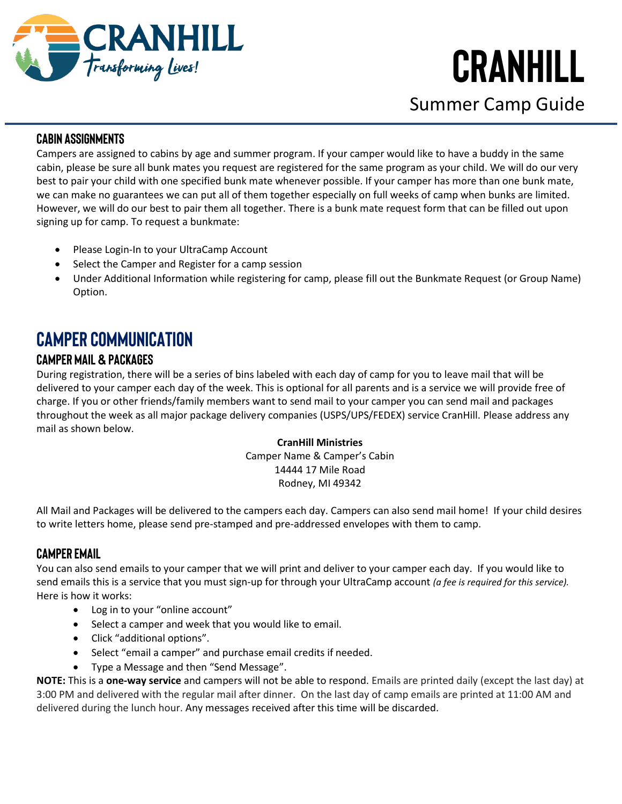

Summer Camp Guide

### **CABIN ASSIGNMENTS**

Campers are assigned to cabins by age and summer program. If your camper would like to have a buddy in the same cabin, please be sure all bunk mates you request are registered for the same program as your child. We will do our very best to pair your child with one specified bunk mate whenever possible. If your camper has more than one bunk mate, we can make no guarantees we can put all of them together especially on full weeks of camp when bunks are limited. However, we will do our best to pair them all together. There is a bunk mate request form that can be filled out upon signing up for camp. To request a bunkmate:

- Please Login-In to your UltraCamp Account
- Select the Camper and Register for a camp session
- Under Additional Information while registering for camp, please fill out the Bunkmate Request (or Group Name) Option.

## **CAMPER COMMUNICATION**

### **Camper Mail & Packages**

During registration, there will be a series of bins labeled with each day of camp for you to leave mail that will be delivered to your camper each day of the week. This is optional for all parents and is a service we will provide free of charge. If you or other friends/family members want to send mail to your camper you can send mail and packages throughout the week as all major package delivery companies (USPS/UPS/FEDEX) service CranHill. Please address any mail as shown below.

### **CranHill Ministries**

Camper Name & Camper's Cabin 14444 17 Mile Road Rodney, MI 49342

All Mail and Packages will be delivered to the campers each day. Campers can also send mail home! If your child desires to write letters home, please send pre-stamped and pre-addressed envelopes with them to camp.

### **Camper Email**

You can also send emails to your camper that we will print and deliver to your camper each day. If you would like to send emails this is a service that you must sign-up for through your UltraCamp account *(a fee is required for this service).* Here is how it works:

- Log in to your "online account"
- Select a camper and week that you would like to email.
- Click "additional options".
- Select "email a camper" and purchase email credits if needed.
- Type a Message and then "Send Message".

**NOTE:** This is a **one-way service** and campers will not be able to respond. Emails are printed daily (except the last day) at 3:00 PM and delivered with the regular mail after dinner. On the last day of camp emails are printed at 11:00 AM and delivered during the lunch hour. Any messages received after this time will be discarded.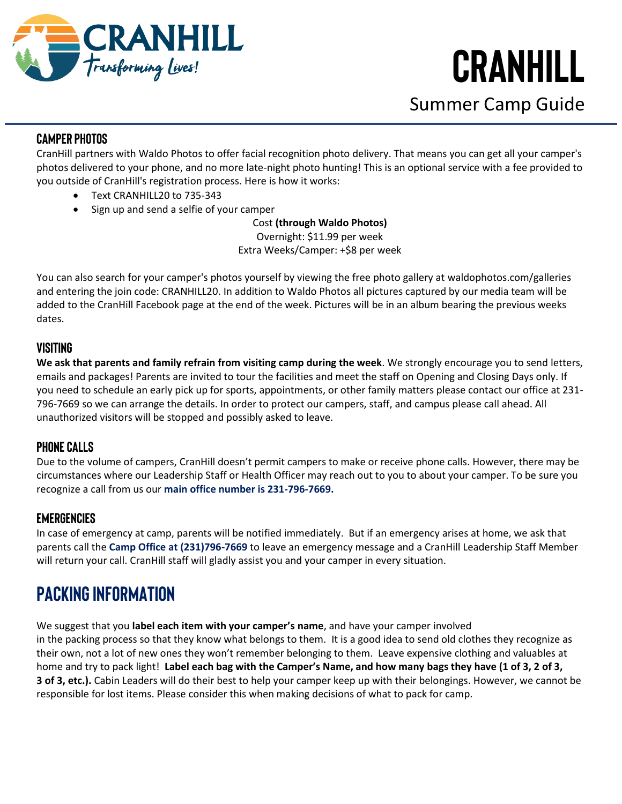

Summer Camp Guide

### **Camper Photos**

CranHill partners with Waldo Photos to offer facial recognition photo delivery. That means you can get all your camper's photos delivered to your phone, and no more late-night photo hunting! This is an optional service with a fee provided to you outside of CranHill's registration process. Here is how it works:

- Text CRANHILL20 to 735-343
- Sign up and send a selfie of your camper

Cost **(through Waldo Photos)**

Overnight: \$11.99 per week Extra Weeks/Camper: +\$8 per week

You can also search for your camper's photos yourself by viewing the free photo gallery at waldophotos.com/galleries and entering the join code: CRANHILL20. In addition to Waldo Photos all pictures captured by our media team will be added to the CranHill Facebook page at the end of the week. Pictures will be in an album bearing the previous weeks dates.

### **Visiting**

**We ask that parents and family refrain from visiting camp during the week**. We strongly encourage you to send letters, emails and packages! Parents are invited to tour the facilities and meet the staff on Opening and Closing Days only. If you need to schedule an early pick up for sports, appointments, or other family matters please contact our office at 231- 796-7669 so we can arrange the details. In order to protect our campers, staff, and campus please call ahead. All unauthorized visitors will be stopped and possibly asked to leave.

### **Phone Calls**

Due to the volume of campers, CranHill doesn't permit campers to make or receive phone calls. However, there may be circumstances where our Leadership Staff or Health Officer may reach out to you to about your camper. To be sure you recognize a call from us our **main office number is 231-796-7669.**

### **Emergencies**

In case of emergency at camp, parents will be notified immediately. But if an emergency arises at home, we ask that parents call the **Camp Office at (231)796-7669** to leave an emergency message and a CranHill Leadership Staff Member will return your call. CranHill staff will gladly assist you and your camper in every situation.

## **PACKING INFORMATION**

We suggest that you **label each item with your camper's name**, and have your camper involved in the packing process so that they know what belongs to them. It is a good idea to send old clothes they recognize as their own, not a lot of new ones they won't remember belonging to them. Leave expensive clothing and valuables at home and try to pack light! **Label each bag with the Camper's Name, and how many bags they have (1 of 3, 2 of 3, 3 of 3, etc.).** Cabin Leaders will do their best to help your camper keep up with their belongings. However, we cannot be responsible for lost items. Please consider this when making decisions of what to pack for camp.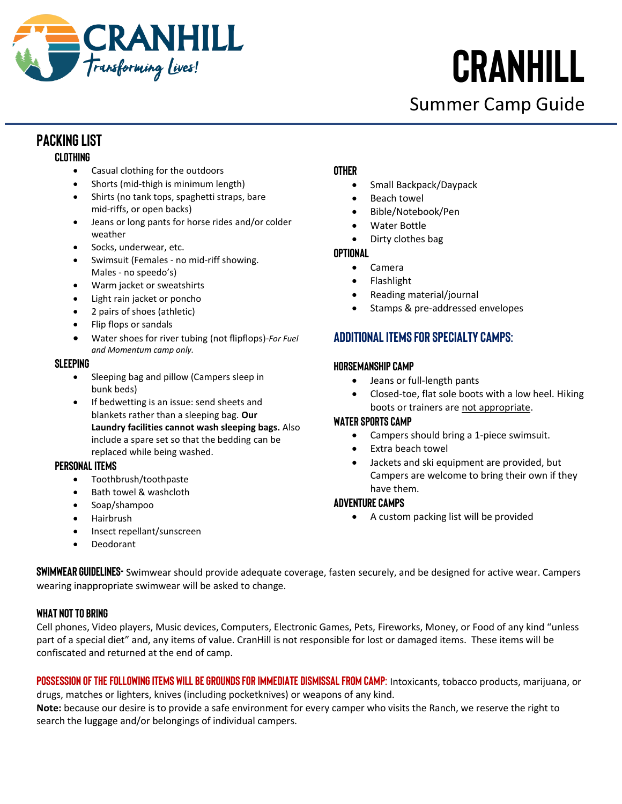

Summer Camp Guide

### **Packing List**

### **Clothing**

- Casual clothing for the outdoors
- Shorts (mid-thigh is minimum length)
- Shirts (no tank tops, spaghetti straps, bare mid-riffs, or open backs)
- Jeans or long pants for horse rides and/or colder weather
- Socks, underwear, etc.
- Swimsuit (Females no mid-riff showing. Males - no speedo's)
- Warm jacket or sweatshirts
- Light rain jacket or poncho
- 2 pairs of shoes (athletic)
- Flip flops or sandals
- Water shoes for river tubing (not flipflops)-*For Fuel and Momentum camp only.*

### **Sleeping**

- Sleeping bag and pillow (Campers sleep in bunk beds)
- If bedwetting is an issue: send sheets and blankets rather than a sleeping bag. **Our Laundry facilities cannot wash sleeping bags.** Also include a spare set so that the bedding can be replaced while being washed.

#### **Personal Items**

- Toothbrush/toothpaste
- Bath towel & washcloth
- Soap/shampoo
- Hairbrush
- Insect repellant/sunscreen
- Deodorant

### **Other**

- Small Backpack/Daypack
- Beach towel
- Bible/Notebook/Pen
- Water Bottle
- Dirty clothes bag

### **Optional**

- Camera
- Flashlight
- Reading material/journal
- Stamps & pre-addressed envelopes

### **Additional Items for Specialty Camps:**

### **Horsemanship Camp**

- Jeans or full-length pants
- Closed-toe, flat sole boots with a low heel. Hiking boots or trainers are not appropriate.

### **Water Sports Camp**

- Campers should bring a 1-piece swimsuit.
- Extra beach towel
- Jackets and ski equipment are provided, but Campers are welcome to bring their own if they have them.

### **Adventure Camps**

• A custom packing list will be provided

**SWIMWEAR GUIDELINES-** Swimwear should provide adequate coverage, fasten securely, and be designed for active wear. Campers wearing inappropriate swimwear will be asked to change.

### **What NOT to Bring**

Cell phones, Video players, Music devices, Computers, Electronic Games, Pets, Fireworks, Money, or Food of any kind "unless part of a special diet" and, any items of value. CranHill is not responsible for lost or damaged items. These items will be confiscated and returned at the end of camp.

**Possession of the following items will be grounds for immediate dismissal from camp:** Intoxicants, tobacco products, marijuana, or drugs, matches or lighters, knives (including pocketknives) or weapons of any kind.

**Note:** because our desire is to provide a safe environment for every camper who visits the Ranch, we reserve the right to search the luggage and/or belongings of individual campers.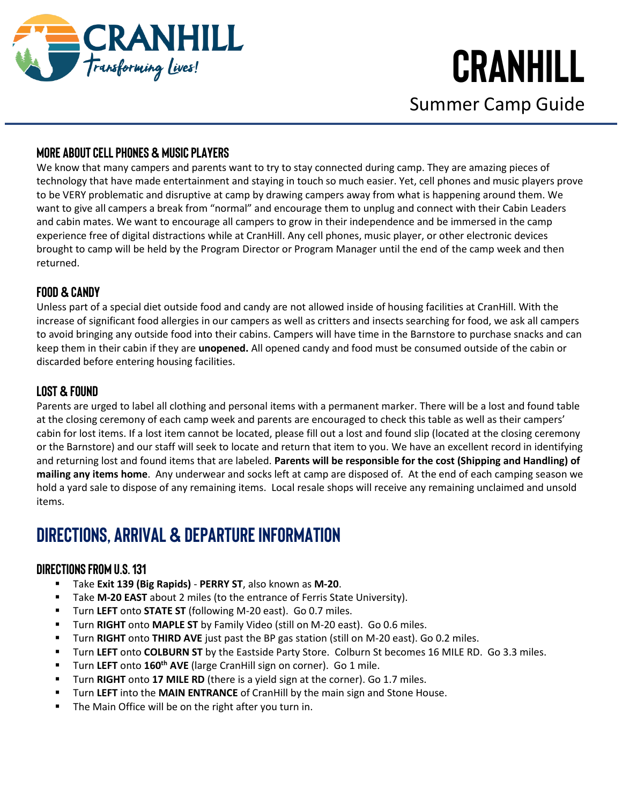

Summer Camp Guide

### **More about Cell Phones & Music Players**

We know that many campers and parents want to try to stay connected during camp. They are amazing pieces of technology that have made entertainment and staying in touch so much easier. Yet, cell phones and music players prove to be VERY problematic and disruptive at camp by drawing campers away from what is happening around them. We want to give all campers a break from "normal" and encourage them to unplug and connect with their Cabin Leaders and cabin mates. We want to encourage all campers to grow in their independence and be immersed in the camp experience free of digital distractions while at CranHill. Any cell phones, music player, or other electronic devices brought to camp will be held by the Program Director or Program Manager until the end of the camp week and then returned.

### **Food & Candy**

Unless part of a special diet outside food and candy are not allowed inside of housing facilities at CranHill. With the increase of significant food allergies in our campers as well as critters and insects searching for food, we ask all campers to avoid bringing any outside food into their cabins. Campers will have time in the Barnstore to purchase snacks and can keep them in their cabin if they are **unopened.** All opened candy and food must be consumed outside of the cabin or discarded before entering housing facilities.

### **Lost & Found**

Parents are urged to label all clothing and personal items with a permanent marker. There will be a lost and found table at the closing ceremony of each camp week and parents are encouraged to check this table as well as their campers' cabin for lost items. If a lost item cannot be located, please fill out a lost and found slip (located at the closing ceremony or the Barnstore) and our staff will seek to locate and return that item to you. We have an excellent record in identifying and returning lost and found items that are labeled. **Parents will be responsible for the cost (Shipping and Handling) of mailing any items home**. Any underwear and socks left at camp are disposed of. At the end of each camping season we hold a yard sale to dispose of any remaining items. Local resale shops will receive any remaining unclaimed and unsold items.

### **DIRECTIONS, ARRIVAL & DEPARTURE INFORMATION**

### **Directions from U.S. 131**

- Take **Exit 139 (Big Rapids) PERRY ST**, also known as **M-20**.
- Take **M-20 EAST** about 2 miles (to the entrance of Ferris State University).
- Turn **LEFT** onto **STATE ST** (following M-20 east). Go 0.7 miles.
- Turn **RIGHT** onto **MAPLE ST** by Family Video (still on M-20 east). Go 0.6 miles.
- Turn RIGHT onto THIRD AVE just past the BP gas station (still on M-20 east). Go 0.2 miles.
- Turn LEFT onto COLBURN ST by the Eastside Party Store. Colburn St becomes 16 MILE RD. Go 3.3 miles.
- Turn **LEFT** onto **160th AVE** (large CranHill sign on corner). Go 1 mile.
- Turn **RIGHT** onto **17 MILE RD** (there is a yield sign at the corner). Go 1.7 miles.
- **E** Turn LEFT into the MAIN ENTRANCE of CranHill by the main sign and Stone House.
- The Main Office will be on the right after you turn in.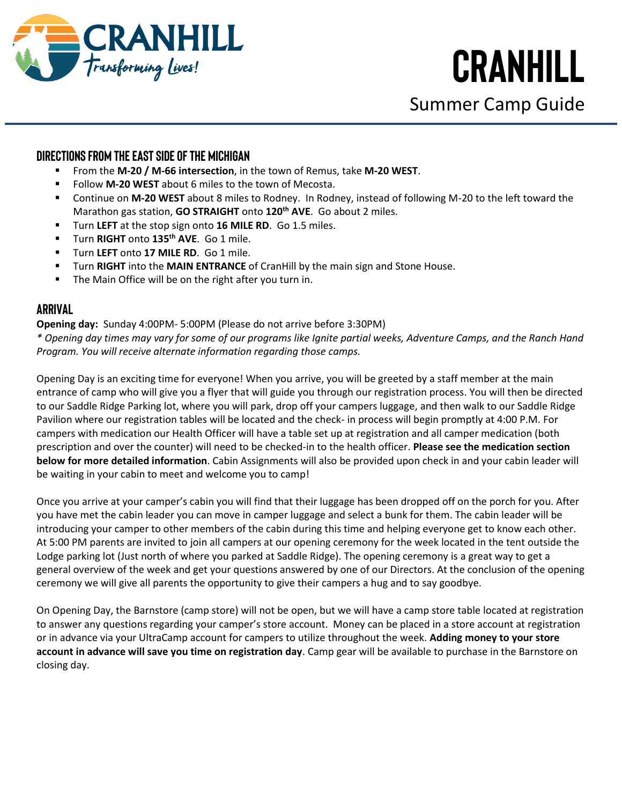

Summer Camp Guide

### **Directions from the East Side of the Michigan**

- From the **M-20 / M-66 intersection**, in the town of Remus, take **M-20 WEST**.
- Follow **M-20 WEST** about 6 miles to the town of Mecosta.
- Continue on M-20 WEST about 8 miles to Rodney. In Rodney, instead of following M-20 to the left toward the Marathon gas station, **GO STRAIGHT** onto **120th AVE**. Go about 2 miles.
- Turn LEFT at the stop sign onto 16 MILE RD. Go 1.5 miles.
- Turn **RIGHT** onto **135th AVE**. Go 1 mile.
- Turn LEFT onto 17 MILE RD. Go 1 mile.
- **THE TURE ATTE:** Turn **RIGHT** into the **MAIN ENTRANCE** of CranHill by the main sign and Stone House.
- The Main Office will be on the right after you turn in.

### **Arrival**

**Opening day:** Sunday 4:00PM- 5:00PM (Please do not arrive before 3:30PM)

*\* Opening day times may vary for some of our programs like Ignite partial weeks, Adventure Camps, and the Ranch Hand Program. You will receive alternate information regarding those camps.*

Opening Day is an exciting time for everyone! When you arrive, you will be greeted by a staff member at the main entrance of camp who will give you a flyer that will guide you through our registration process. You will then be directed to our Saddle Ridge Parking lot, where you will park, drop off your campers luggage, and then walk to our Saddle Ridge Pavilion where our registration tables will be located and the check- in process will begin promptly at 4:00 P.M. For campers with medication our Health Officer will have a table set up at registration and all camper medication (both prescription and over the counter) will need to be checked-in to the health officer. **Please see the medication section below for more detailed information**. Cabin Assignments will also be provided upon check in and your cabin leader will be waiting in your cabin to meet and welcome you to camp!

Once you arrive at your camper's cabin you will find that their luggage has been dropped off on the porch for you. After you have met the cabin leader you can move in camper luggage and select a bunk for them. The cabin leader will be introducing your camper to other members of the cabin during this time and helping everyone get to know each other. At 5:00 PM parents are invited to join all campers at our opening ceremony for the week located in the tent outside the Lodge parking lot (Just north of where you parked at Saddle Ridge). The opening ceremony is a great way to get a general overview of the week and get your questions answered by one of our Directors. At the conclusion of the opening ceremony we will give all parents the opportunity to give their campers a hug and to say goodbye.

On Opening Day, the Barnstore (camp store) will not be open, but we will have a camp store table located at registration to answer any questions regarding your camper's store account. Money can be placed in a store account at registration or in advance via your UltraCamp account for campers to utilize throughout the week. **Adding money to your store account in advance will save you time on registration day**. Camp gear will be available to purchase in the Barnstore on closing day.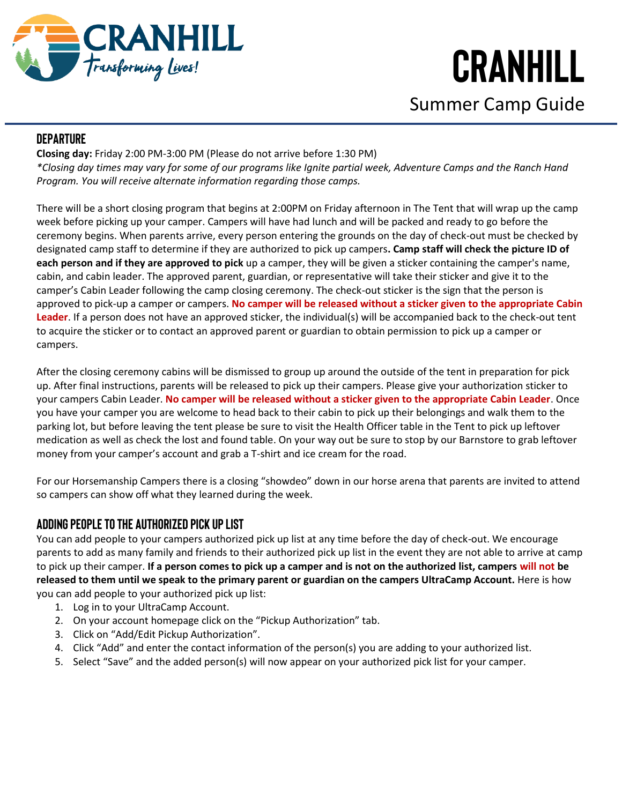

Summer Camp Guide

### **Departure**

**Closing day:** Friday 2:00 PM-3:00 PM (Please do not arrive before 1:30 PM) *\*Closing day times may vary for some of our programs like Ignite partial week, Adventure Camps and the Ranch Hand Program. You will receive alternate information regarding those camps.*

There will be a short closing program that begins at 2:00PM on Friday afternoon in The Tent that will wrap up the camp week before picking up your camper. Campers will have had lunch and will be packed and ready to go before the ceremony begins. When parents arrive, every person entering the grounds on the day of check-out must be checked by designated camp staff to determine if they are authorized to pick up campers**. Camp staff will check the picture ID of each person and if they are approved to pick** up a camper, they will be given a sticker containing the camper's name, cabin, and cabin leader. The approved parent, guardian, or representative will take their sticker and give it to the camper's Cabin Leader following the camp closing ceremony. The check-out sticker is the sign that the person is approved to pick-up a camper or campers. **No camper will be released without a sticker given to the appropriate Cabin Leader**. If a person does not have an approved sticker, the individual(s) will be accompanied back to the check-out tent to acquire the sticker or to contact an approved parent or guardian to obtain permission to pick up a camper or campers.

After the closing ceremony cabins will be dismissed to group up around the outside of the tent in preparation for pick up. After final instructions, parents will be released to pick up their campers. Please give your authorization sticker to your campers Cabin Leader. **No camper will be released without a sticker given to the appropriate Cabin Leader**. Once you have your camper you are welcome to head back to their cabin to pick up their belongings and walk them to the parking lot, but before leaving the tent please be sure to visit the Health Officer table in the Tent to pick up leftover medication as well as check the lost and found table. On your way out be sure to stop by our Barnstore to grab leftover money from your camper's account and grab a T-shirt and ice cream for the road.

For our Horsemanship Campers there is a closing "showdeo" down in our horse arena that parents are invited to attend so campers can show off what they learned during the week.

### **Adding People To the Authorized Pick Up List**

You can add people to your campers authorized pick up list at any time before the day of check-out. We encourage parents to add as many family and friends to their authorized pick up list in the event they are not able to arrive at camp to pick up their camper. **If a person comes to pick up a camper and is not on the authorized list, campers will not be released to them until we speak to the primary parent or guardian on the campers UltraCamp Account.** Here is how you can add people to your authorized pick up list:

- 1. Log in to your UltraCamp Account.
- 2. On your account homepage click on the "Pickup Authorization" tab.
- 3. Click on "Add/Edit Pickup Authorization".
- 4. Click "Add" and enter the contact information of the person(s) you are adding to your authorized list.
- 5. Select "Save" and the added person(s) will now appear on your authorized pick list for your camper.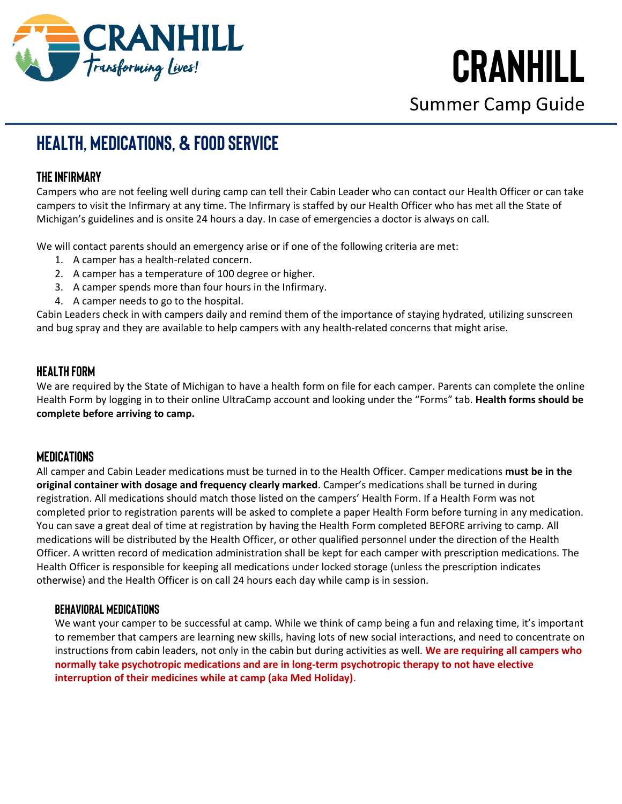

Summer Camp Guide

## **HEALTH, MEDICATIONS, & FOOD SERVICE**

### **The Infirmary**

Campers who are not feeling well during camp can tell their Cabin Leader who can contact our Health Officer or can take campers to visit the Infirmary at any time. The Infirmary is staffed by our Health Officer who has met all the State of Michigan's guidelines and is onsite 24 hours a day. In case of emergencies a doctor is always on call.

We will contact parents should an emergency arise or if one of the following criteria are met:

- 1. A camper has a health-related concern.
- 2. A camper has a temperature of 100 degree or higher.
- 3. A camper spends more than four hours in the Infirmary.
- 4. A camper needs to go to the hospital.

Cabin Leaders check in with campers daily and remind them of the importance of staying hydrated, utilizing sunscreen and bug spray and they are available to help campers with any health-related concerns that might arise.

### **Health Form**

We are required by the State of Michigan to have a health form on file for each camper. Parents can complete the online Health Form by logging in to their online UltraCamp account and looking under the "Forms" tab. **Health forms should be complete before arriving to camp.**

### **Medications**

All camper and Cabin Leader medications must be turned in to the Health Officer. Camper medications **must be in the original container with dosage and frequency clearly marked**. Camper's medications shall be turned in during registration. All medications should match those listed on the campers' Health Form. If a Health Form was not completed prior to registration parents will be asked to complete a paper Health Form before turning in any medication. You can save a great deal of time at registration by having the Health Form completed BEFORE arriving to camp. All medications will be distributed by the Health Officer, or other qualified personnel under the direction of the Health Officer. A written record of medication administration shall be kept for each camper with prescription medications. The Health Officer is responsible for keeping all medications under locked storage (unless the prescription indicates otherwise) and the Health Officer is on call 24 hours each day while camp is in session.

### **Behavioral Medications**

We want your camper to be successful at camp. While we think of camp being a fun and relaxing time, it's important to remember that campers are learning new skills, having lots of new social interactions, and need to concentrate on instructions from cabin leaders, not only in the cabin but during activities as well. **We are requiring all campers who normally take psychotropic medications and are in long-term psychotropic therapy to not have elective interruption of their medicines while at camp (aka Med Holiday)**.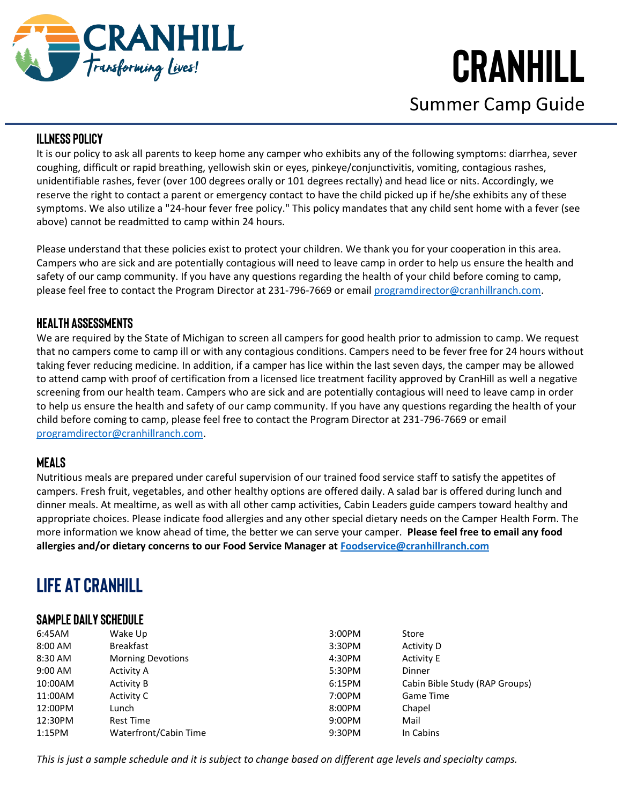

Summer Camp Guide

### **Illness Policy**

It is our policy to ask all parents to keep home any camper who exhibits any of the following symptoms: diarrhea, sever coughing, difficult or rapid breathing, yellowish skin or eyes, pinkeye/conjunctivitis, vomiting, contagious rashes, unidentifiable rashes, fever (over 100 degrees orally or 101 degrees rectally) and head lice or nits. Accordingly, we reserve the right to contact a parent or emergency contact to have the child picked up if he/she exhibits any of these symptoms. We also utilize a "24-hour fever free policy." This policy mandates that any child sent home with a fever (see above) cannot be readmitted to camp within 24 hours.

Please understand that these policies exist to protect your children. We thank you for your cooperation in this area. Campers who are sick and are potentially contagious will need to leave camp in order to help us ensure the health and safety of our camp community. If you have any questions regarding the health of your child before coming to camp, please feel free to contact the Program Director at 231-796-7669 or email [programdirector@cranhillranch.com.](mailto:programdirector@cranhillranch.com)

### **Health Assessments**

We are required by the State of Michigan to screen all campers for good health prior to admission to camp. We request that no campers come to camp ill or with any contagious conditions. Campers need to be fever free for 24 hours without taking fever reducing medicine. In addition, if a camper has lice within the last seven days, the camper may be allowed to attend camp with proof of certification from a licensed lice treatment facility approved by CranHill as well a negative screening from our health team. Campers who are sick and are potentially contagious will need to leave camp in order to help us ensure the health and safety of our camp community. If you have any questions regarding the health of your child before coming to camp, please feel free to contact the Program Director at 231-796-7669 or email [programdirector@cranhillranch.com.](mailto:programdirector@cranhillranch.com)

### **Meals**

Nutritious meals are prepared under careful supervision of our trained food service staff to satisfy the appetites of campers. Fresh fruit, vegetables, and other healthy options are offered daily. A salad bar is offered during lunch and dinner meals. At mealtime, as well as with all other camp activities, Cabin Leaders guide campers toward healthy and appropriate choices. Please indicate food allergies and any other special dietary needs on the Camper Health Form. The more information we know ahead of time, the better we can serve your camper. **Please feel free to email any food allergies and/or dietary concerns to our Food Service Manager at [Foodservice@cranhillranch.com](mailto:Foodservice@cranhillranch.com)**

## **LIFE AT CRANHILL**

### **Sample Daily Schedule**

| 6:45AM  | Wake Up                  | 3:00PM | Store                          |
|---------|--------------------------|--------|--------------------------------|
| 8:00 AM | <b>Breakfast</b>         | 3:30PM | Activity D                     |
| 8:30 AM | <b>Morning Devotions</b> | 4:30PM | <b>Activity E</b>              |
| 9:00 AM | Activity A               | 5:30PM | Dinner                         |
| 10:00AM | Activity B               | 6:15PM | Cabin Bible Study (RAP Groups) |
| 11:00AM | Activity C               | 7:00PM | Game Time                      |
| 12:00PM | Lunch                    | 8:00PM | Chapel                         |
| 12:30PM | <b>Rest Time</b>         | 9:00PM | Mail                           |
| 1:15PM  | Waterfront/Cabin Time    | 9:30PM | In Cabins                      |
|         |                          |        |                                |

*This is just a sample schedule and it is subject to change based on different age levels and specialty camps.*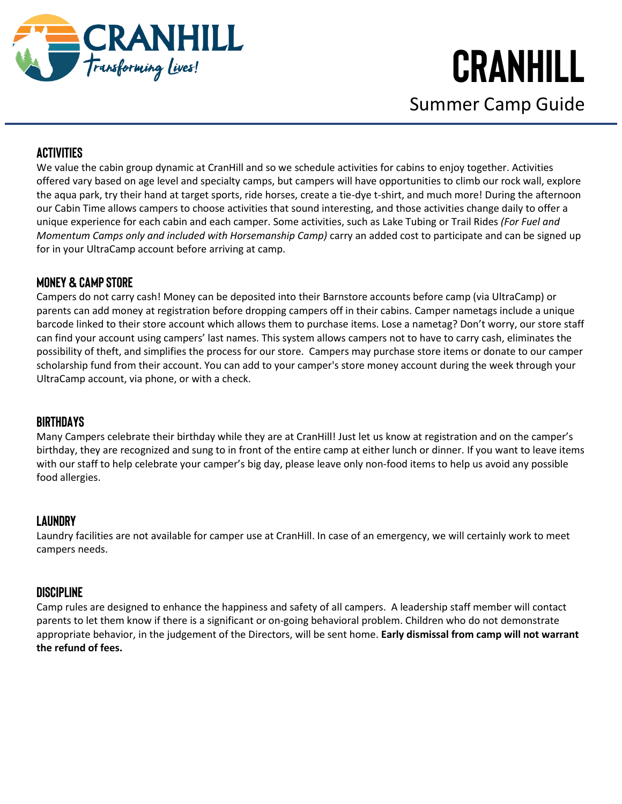

Summer Camp Guide

### **Activities**

We value the cabin group dynamic at CranHill and so we schedule activities for cabins to enjoy together. Activities offered vary based on age level and specialty camps, but campers will have opportunities to climb our rock wall, explore the aqua park, try their hand at target sports, ride horses, create a tie-dye t-shirt, and much more! During the afternoon our Cabin Time allows campers to choose activities that sound interesting, and those activities change daily to offer a unique experience for each cabin and each camper. Some activities, such as Lake Tubing or Trail Rides *(For Fuel and Momentum Camps only and included with Horsemanship Camp)* carry an added cost to participate and can be signed up for in your UltraCamp account before arriving at camp.

### **Money & Camp Store**

Campers do not carry cash! Money can be deposited into their Barnstore accounts before camp (via UltraCamp) or parents can add money at registration before dropping campers off in their cabins. Camper nametags include a unique barcode linked to their store account which allows them to purchase items. Lose a nametag? Don't worry, our store staff can find your account using campers' last names. This system allows campers not to have to carry cash, eliminates the possibility of theft, and simplifies the process for our store. Campers may purchase store items or donate to our camper scholarship fund from their account. You can add to your camper's store money account during the week through your UltraCamp account, via phone, or with a check.

### **Birthdays**

Many Campers celebrate their birthday while they are at CranHill! Just let us know at registration and on the camper's birthday, they are recognized and sung to in front of the entire camp at either lunch or dinner. If you want to leave items with our staff to help celebrate your camper's big day, please leave only non-food items to help us avoid any possible food allergies.

### **Laundry**

Laundry facilities are not available for camper use at CranHill. In case of an emergency, we will certainly work to meet campers needs.

### **Discipline**

Camp rules are designed to enhance the happiness and safety of all campers. A leadership staff member will contact parents to let them know if there is a significant or on-going behavioral problem. Children who do not demonstrate appropriate behavior, in the judgement of the Directors, will be sent home. **Early dismissal from camp will not warrant the refund of fees.**